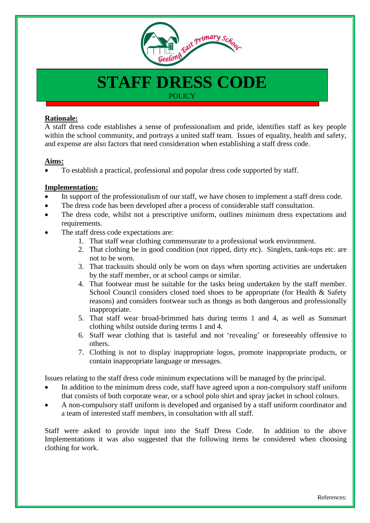

# **STAFF DRESS CODE POLICY**

### **Rationale:**

A staff dress code establishes a sense of professionalism and pride, identifies staff as key people within the school community, and portrays a united staff team. Issues of equality, health and safety, and expense are also factors that need consideration when establishing a staff dress code.

#### **Aims:**

To establish a practical, professional and popular dress code supported by staff.

#### **Implementation:**

- In support of the professionalism of our staff, we have chosen to implement a staff dress code.
- The dress code has been developed after a process of considerable staff consultation.
- The dress code, whilst not a prescriptive uniform, outlines minimum dress expectations and requirements.
- The staff dress code expectations are:
	- 1. That staff wear clothing commensurate to a professional work environment.
	- 2. That clothing be in good condition (not ripped, dirty etc). Singlets, tank-tops etc. are not to be worn.
	- 3. That tracksuits should only be worn on days when sporting activities are undertaken by the staff member, or at school camps or similar.
	- 4. That footwear must be suitable for the tasks being undertaken by the staff member. School Council considers closed toed shoes to be appropriate (for Health & Safety reasons) and considers footwear such as thongs as both dangerous and professionally inappropriate.
	- 5. That staff wear broad-brimmed hats during terms 1 and 4, as well as Sunsmart clothing whilst outside during terms 1 and 4.
	- 6. Staff wear clothing that is tasteful and not 'revealing' or foreseeably offensive to others.
	- 7. Clothing is not to display inappropriate logos, promote inappropriate products, or contain inappropriate language or messages.

Issues relating to the staff dress code minimum expectations will be managed by the principal.

- In addition to the minimum dress code, staff have agreed upon a non-compulsory staff uniform that consists of both corporate wear, or a school polo shirt and spray jacket in school colours.
- A non-compulsory staff uniform is developed and organised by a staff uniform coordinator and a team of interested staff members, in consultation with all staff.

Staff were asked to provide input into the Staff Dress Code. In addition to the above Implementations it was also suggested that the following items be considered when choosing clothing for work.